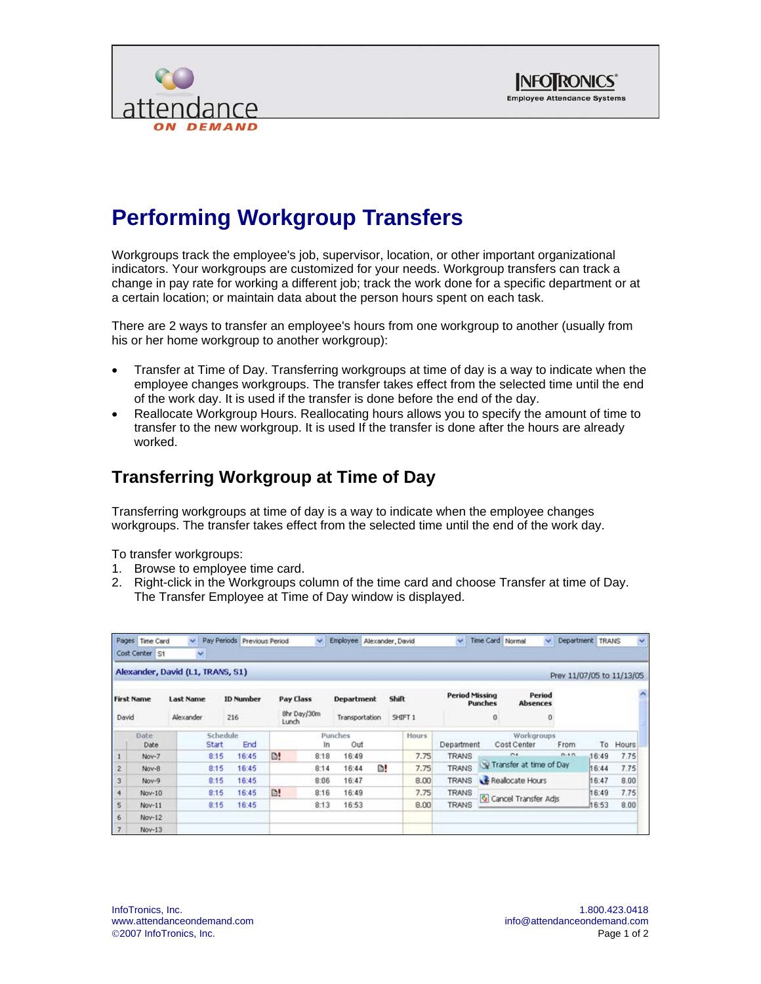



## **Performing Workgroup Transfers**

Workgroups track the employee's job, supervisor, location, or other important organizational indicators. Your workgroups are customized for your needs. Workgroup transfers can track a change in pay rate for working a different job; track the work done for a specific department or at a certain location; or maintain data about the person hours spent on each task.

There are 2 ways to transfer an employee's hours from one workgroup to another (usually from his or her home workgroup to another workgroup):

- Transfer at Time of Day. Transferring workgroups at time of day is a way to indicate when the employee changes workgroups. The transfer takes effect from the selected time until the end of the work day. It is used if the transfer is done before the end of the day.
- Reallocate Workgroup Hours. Reallocating hours allows you to specify the amount of time to transfer to the new workgroup. It is used If the transfer is done after the hours are already worked.

## **Transferring Workgroup at Time of Day**

Transferring workgroups at time of day is a way to indicate when the employee changes workgroups. The transfer takes effect from the selected time until the end of the work day.

To transfer workgroups:

- 1. Browse to employee time card.
- 2. Right-click in the Workgroups column of the time card and choose Transfer at time of Day. The Transfer Employee at Time of Day window is displayed.

|                            | Pages Time Card<br>Cost Center S1 | v.<br>×                                                  | Pay Periods Previous Period |               | $\mathbf{v}$                             | Employee Alexander, David |                                                                |              | $\mathbf{v}$ | Time Card Normal                      |                                                                                           | $\ddot{\phantom{1}}$           | Department TRANS | $\checkmark$ |  |
|----------------------------|-----------------------------------|----------------------------------------------------------|-----------------------------|---------------|------------------------------------------|---------------------------|----------------------------------------------------------------|--------------|--------------|---------------------------------------|-------------------------------------------------------------------------------------------|--------------------------------|------------------|--------------|--|
|                            |                                   | Alexander, David (L1, TRANS, S1)                         |                             |               |                                          |                           |                                                                |              |              |                                       |                                                                                           | Prev 11/07/05 to 11/13/05      |                  |              |  |
| <b>First Name</b><br>David |                                   | <b>ID Number</b><br><b>Last Name</b><br>Alexander<br>216 |                             |               | <b>Pay Class</b><br>8hr Day/30m<br>Lunch |                           | <b>Shift</b><br><b>Department</b><br>Transportation<br>SHIFT 1 |              |              | <b>Period Missing</b><br>Punches<br>o |                                                                                           | Period<br><b>Absences</b><br>o |                  | Ä            |  |
| Date<br>Date               |                                   | Schedule<br>End<br>Start                                 |                             |               | Punches<br>Out<br>In                     |                           |                                                                | <b>Hours</b> | Department   |                                       | Workgroups<br>Cost Center                                                                 | To                             | Hours            |              |  |
| $\mathbf{1}$               | Nov-7                             | 8:15                                                     | 16:45                       | D!            | 8.18                                     | 16:49                     |                                                                | 7.75         | <b>TRANS</b> |                                       | From<br>0.10<br>C.A<br>Transfer at time of Day<br>Realocate Hours<br>Cancel Transfer Adjs |                                | 16:49            | 7.75         |  |
| $\overline{c}$             | Nov-8                             | 8:15                                                     | 16:45                       |               | 8:14                                     | 16:44                     | D!                                                             | 7.75         | <b>TRANS</b> |                                       |                                                                                           |                                | 16:44            | 7.75         |  |
| 3                          | Nov-9                             | 8:15                                                     | 16:45                       |               | 8:06                                     | 16:47                     |                                                                | 8.00         | <b>TRANS</b> |                                       |                                                                                           |                                | 16:47            | 8.00         |  |
| $\ddot{ }$                 | Nov-10                            | 8:15                                                     | 16:45                       | $\mathbb{D}!$ | 8:16                                     | 16:49                     |                                                                | 7.75         | <b>TRANS</b> |                                       |                                                                                           |                                | 16:49            | 7.75         |  |
| 5                          | Nov-11                            | 8:15                                                     | 16:45                       |               | 8:13                                     | 16:53                     |                                                                | 8.00         | <b>TRANS</b> |                                       |                                                                                           |                                | 16:53            | 8.00         |  |
| 6                          | Nov-12                            |                                                          |                             |               |                                          |                           |                                                                |              |              |                                       |                                                                                           |                                |                  |              |  |
| $\overline{7}$             | $Nov-13$                          |                                                          |                             |               |                                          |                           |                                                                |              |              |                                       |                                                                                           |                                |                  |              |  |